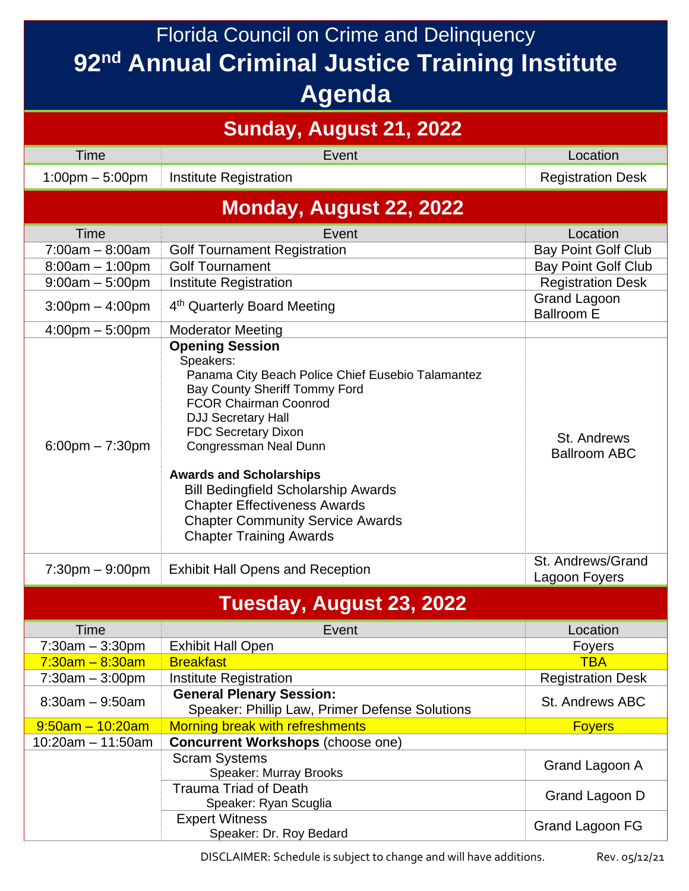Florida Council on Crime and Delinquency **92nd Annual Criminal Justice Training Institute Agenda**

| Sunday, August 21, 2022           |                                                                                                                                                                                                                                                                                                                                                                                                                                                   |                                          |  |  |
|-----------------------------------|---------------------------------------------------------------------------------------------------------------------------------------------------------------------------------------------------------------------------------------------------------------------------------------------------------------------------------------------------------------------------------------------------------------------------------------------------|------------------------------------------|--|--|
| Time                              | Event                                                                                                                                                                                                                                                                                                                                                                                                                                             | Location                                 |  |  |
| $1:00 \text{pm} - 5:00 \text{pm}$ | <b>Institute Registration</b>                                                                                                                                                                                                                                                                                                                                                                                                                     | <b>Registration Desk</b>                 |  |  |
| Monday, August 22, 2022           |                                                                                                                                                                                                                                                                                                                                                                                                                                                   |                                          |  |  |
| Time                              | Event                                                                                                                                                                                                                                                                                                                                                                                                                                             | Location                                 |  |  |
| $7:00am - 8:00am$                 | <b>Golf Tournament Registration</b>                                                                                                                                                                                                                                                                                                                                                                                                               | <b>Bay Point Golf Club</b>               |  |  |
| $8:00am - 1:00pm$                 | <b>Golf Tournament</b>                                                                                                                                                                                                                                                                                                                                                                                                                            | <b>Bay Point Golf Club</b>               |  |  |
| $9:00am - 5:00pm$                 | <b>Institute Registration</b>                                                                                                                                                                                                                                                                                                                                                                                                                     | <b>Registration Desk</b>                 |  |  |
| $3:00$ pm $-4:00$ pm              | 4 <sup>th</sup> Quarterly Board Meeting                                                                                                                                                                                                                                                                                                                                                                                                           | <b>Grand Lagoon</b><br><b>Ballroom E</b> |  |  |
| $4:00$ pm $-5:00$ pm              | <b>Moderator Meeting</b>                                                                                                                                                                                                                                                                                                                                                                                                                          |                                          |  |  |
| $6:00$ pm $-7:30$ pm              | <b>Opening Session</b><br>Speakers:<br>Panama City Beach Police Chief Eusebio Talamantez<br>Bay County Sheriff Tommy Ford<br><b>FCOR Chairman Coonrod</b><br><b>DJJ Secretary Hall</b><br><b>FDC Secretary Dixon</b><br>Congressman Neal Dunn<br><b>Awards and Scholarships</b><br><b>Bill Bedingfield Scholarship Awards</b><br><b>Chapter Effectiveness Awards</b><br><b>Chapter Community Service Awards</b><br><b>Chapter Training Awards</b> | St. Andrews<br><b>Ballroom ABC</b>       |  |  |
| $7:30$ pm $-9:00$ pm              | <b>Exhibit Hall Opens and Reception</b>                                                                                                                                                                                                                                                                                                                                                                                                           | St. Andrews/Grand<br>Lagoon Foyers       |  |  |
| Tuesday, August 23, 2022          |                                                                                                                                                                                                                                                                                                                                                                                                                                                   |                                          |  |  |
| <b>Time</b>                       | Event                                                                                                                                                                                                                                                                                                                                                                                                                                             | Location                                 |  |  |
| $7:30am - 3:30pm$                 | <b>Exhibit Hall Open</b>                                                                                                                                                                                                                                                                                                                                                                                                                          | <b>Foyers</b>                            |  |  |
| $7:30$ am - 8:30am                | <b>Breakfast</b>                                                                                                                                                                                                                                                                                                                                                                                                                                  | <b>TBA</b>                               |  |  |
| $7:30am - 3:00pm$                 | <b>Institute Registration</b>                                                                                                                                                                                                                                                                                                                                                                                                                     | <b>Registration Desk</b>                 |  |  |
| $8:30am - 9:50am$                 | <b>General Plenary Session:</b><br>Speaker: Phillip Law, Primer Defense Solutions                                                                                                                                                                                                                                                                                                                                                                 | St. Andrews ABC                          |  |  |
| $9:50$ am - 10:20am               | Morning break with refreshments                                                                                                                                                                                                                                                                                                                                                                                                                   | <b>Foyers</b>                            |  |  |
| $10:20am - 11:50am$               | <b>Concurrent Workshops (choose one)</b>                                                                                                                                                                                                                                                                                                                                                                                                          |                                          |  |  |
|                                   | <b>Scram Systems</b><br>Speaker: Murray Brooks                                                                                                                                                                                                                                                                                                                                                                                                    | Grand Lagoon A                           |  |  |
|                                   | <b>Trauma Triad of Death</b><br>Speaker: Ryan Scuglia                                                                                                                                                                                                                                                                                                                                                                                             | Grand Lagoon D                           |  |  |
|                                   | <b>Expert Witness</b><br>Speaker: Dr. Roy Bedard                                                                                                                                                                                                                                                                                                                                                                                                  | Grand Lagoon FG                          |  |  |

DISCLAIMER: Schedule is subject to change and will have additions. Rev. 05/12/21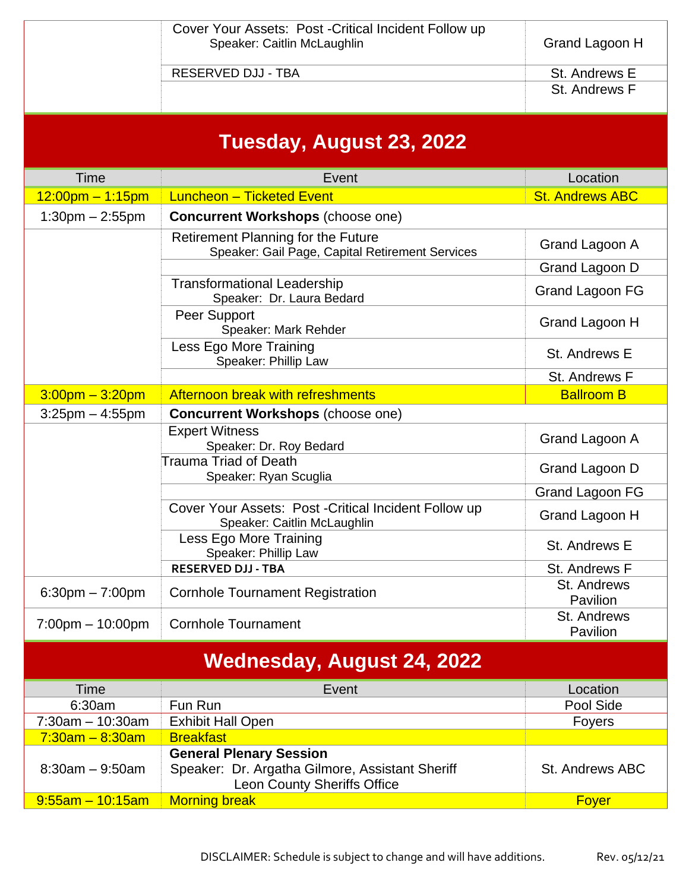|                                    | Cover Your Assets: Post - Critical Incident Follow up<br>Speaker: Caitlin McLaughlin                                    | Grand Lagoon H          |  |  |
|------------------------------------|-------------------------------------------------------------------------------------------------------------------------|-------------------------|--|--|
|                                    | <b>RESERVED DJJ - TBA</b>                                                                                               | St. Andrews E           |  |  |
|                                    |                                                                                                                         | St. Andrews F           |  |  |
|                                    | Tuesday, August 23, 2022                                                                                                |                         |  |  |
| Time                               | Event                                                                                                                   | Location                |  |  |
| $12:00$ pm – 1:15pm                | <b>Luncheon - Ticketed Event</b>                                                                                        | <b>St. Andrews ABC</b>  |  |  |
| $1:30$ pm $- 2:55$ pm              | <b>Concurrent Workshops (choose one)</b>                                                                                |                         |  |  |
|                                    | Retirement Planning for the Future<br>Speaker: Gail Page, Capital Retirement Services                                   | Grand Lagoon A          |  |  |
|                                    |                                                                                                                         | Grand Lagoon D          |  |  |
|                                    | <b>Transformational Leadership</b><br>Speaker: Dr. Laura Bedard                                                         | Grand Lagoon FG         |  |  |
|                                    | <b>Peer Support</b><br>Speaker: Mark Rehder                                                                             | Grand Lagoon H          |  |  |
|                                    | Less Ego More Training<br>Speaker: Phillip Law                                                                          | St. Andrews E           |  |  |
|                                    |                                                                                                                         | St. Andrews F           |  |  |
| $3:00$ pm – $3:20$ pm              | Afternoon break with refreshments                                                                                       | <b>Ballroom B</b>       |  |  |
| $3:25$ pm $-4:55$ pm               | <b>Concurrent Workshops (choose one)</b>                                                                                |                         |  |  |
|                                    | <b>Expert Witness</b><br>Speaker: Dr. Roy Bedard                                                                        | Grand Lagoon A          |  |  |
|                                    | Trauma Triad of Death<br>Speaker: Ryan Scuglia                                                                          | Grand Lagoon D          |  |  |
|                                    |                                                                                                                         | Grand Lagoon FG         |  |  |
|                                    | Cover Your Assets: Post - Critical Incident Follow up<br>Speaker: Caitlin McLaughlin                                    | Grand Lagoon H          |  |  |
|                                    | Less Ego More Training<br>Speaker: Phillip Law                                                                          | St. Andrews E           |  |  |
|                                    | <b>RESERVED DJJ - TBA</b>                                                                                               | St. Andrews F           |  |  |
| $6:30$ pm $-7:00$ pm               | <b>Cornhole Tournament Registration</b>                                                                                 | St. Andrews<br>Pavilion |  |  |
| $7:00 \text{pm} - 10:00 \text{pm}$ | <b>Cornhole Tournament</b>                                                                                              | St. Andrews<br>Pavilion |  |  |
| Wednesday, August 24, 2022         |                                                                                                                         |                         |  |  |
| <b>Time</b>                        | Event                                                                                                                   | Location                |  |  |
| 6:30am                             | Fun Run                                                                                                                 | Pool Side               |  |  |
| 7:30am - 10:30am                   | <b>Exhibit Hall Open</b>                                                                                                | Foyers                  |  |  |
| $7:30$ am - 8:30am                 | <b>Breakfast</b>                                                                                                        |                         |  |  |
| $8:30am - 9:50am$                  | <b>General Plenary Session</b><br>Speaker: Dr. Argatha Gilmore, Assistant Sheriff<br><b>Leon County Sheriffs Office</b> | <b>St. Andrews ABC</b>  |  |  |
| $9:55$ am - 10:15am                | <b>Morning break</b>                                                                                                    | <b>Foyer</b>            |  |  |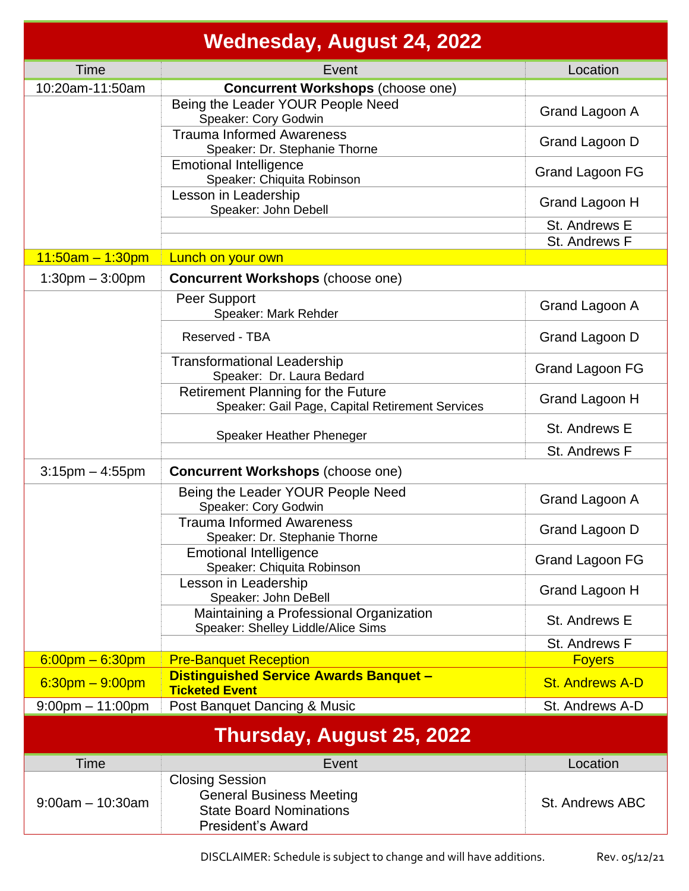|                           | <b>Wednesday, August 24, 2022</b>                                                                                       |                        |  |  |
|---------------------------|-------------------------------------------------------------------------------------------------------------------------|------------------------|--|--|
| Time                      | Event                                                                                                                   | Location               |  |  |
| 10:20am-11:50am           | <b>Concurrent Workshops (choose one)</b>                                                                                |                        |  |  |
|                           | Being the Leader YOUR People Need<br>Speaker: Cory Godwin                                                               | Grand Lagoon A         |  |  |
|                           | <b>Trauma Informed Awareness</b><br>Speaker: Dr. Stephanie Thorne                                                       | Grand Lagoon D         |  |  |
|                           | <b>Emotional Intelligence</b><br>Speaker: Chiquita Robinson                                                             | <b>Grand Lagoon FG</b> |  |  |
|                           | Lesson in Leadership<br>Speaker: John Debell                                                                            | Grand Lagoon H         |  |  |
|                           |                                                                                                                         | St. Andrews E          |  |  |
|                           |                                                                                                                         | St. Andrews F          |  |  |
| $11:50$ am – 1:30pm       | Lunch on your own                                                                                                       |                        |  |  |
| $1:30$ pm $-3:00$ pm      | <b>Concurrent Workshops (choose one)</b>                                                                                |                        |  |  |
|                           | Peer Support<br>Speaker: Mark Rehder                                                                                    | Grand Lagoon A         |  |  |
|                           | Reserved - TBA                                                                                                          | Grand Lagoon D         |  |  |
|                           | <b>Transformational Leadership</b><br>Speaker: Dr. Laura Bedard                                                         | Grand Lagoon FG        |  |  |
|                           | <b>Retirement Planning for the Future</b><br>Speaker: Gail Page, Capital Retirement Services                            | Grand Lagoon H         |  |  |
|                           | Speaker Heather Pheneger                                                                                                | St. Andrews E          |  |  |
|                           |                                                                                                                         | St. Andrews F          |  |  |
| $3:15$ pm $-4:55$ pm      | <b>Concurrent Workshops (choose one)</b>                                                                                |                        |  |  |
|                           | Being the Leader YOUR People Need<br>Speaker: Cory Godwin                                                               | Grand Lagoon A         |  |  |
|                           | <b>Trauma Informed Awareness</b><br>Speaker: Dr. Stephanie Thorne                                                       | Grand Lagoon D         |  |  |
|                           | <b>Emotional Intelligence</b><br>Speaker: Chiquita Robinson                                                             | Grand Lagoon FG        |  |  |
|                           | Lesson in Leadership<br>Speaker: John DeBell                                                                            | Grand Lagoon H         |  |  |
|                           | Maintaining a Professional Organization<br>Speaker: Shelley Liddle/Alice Sims                                           | St. Andrews E          |  |  |
|                           |                                                                                                                         | St. Andrews F          |  |  |
| $6:00$ pm – 6:30pm        | <b>Pre-Banquet Reception</b>                                                                                            | <b>Foyers</b>          |  |  |
| $6:30$ pm $-9:00$ pm      | <b>Distinguished Service Awards Banquet -</b><br><b>Ticketed Event</b>                                                  | <b>St. Andrews A-D</b> |  |  |
| $9:00$ pm $-11:00$ pm     | Post Banquet Dancing & Music                                                                                            | St. Andrews A-D        |  |  |
| Thursday, August 25, 2022 |                                                                                                                         |                        |  |  |
| Time                      | Event                                                                                                                   | Location               |  |  |
| $9:00am - 10:30am$        | <b>Closing Session</b><br><b>General Business Meeting</b><br><b>State Board Nominations</b><br><b>President's Award</b> | <b>St. Andrews ABC</b> |  |  |

DISCLAIMER: Schedule is subject to change and will have additions. Rev. 05/12/21